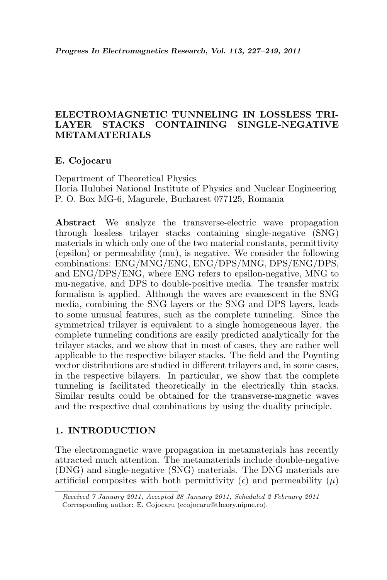# ELECTROMAGNETIC TUNNELING IN LOSSLESS TRI-LAYER STACKS CONTAINING SINGLE-NEGATIVE METAMATERIALS

### E. Cojocaru

Department of Theoretical Physics Horia Hulubei National Institute of Physics and Nuclear Engineering P. O. Box MG-6, Magurele, Bucharest 077125, Romania

Abstract—We analyze the transverse-electric wave propagation through lossless trilayer stacks containing single-negative (SNG) materials in which only one of the two material constants, permittivity (epsilon) or permeability (mu), is negative. We consider the following combinations: ENG/MNG/ENG, ENG/DPS/MNG, DPS/ENG/DPS, and ENG/DPS/ENG, where ENG refers to epsilon-negative, MNG to mu-negative, and DPS to double-positive media. The transfer matrix formalism is applied. Although the waves are evanescent in the SNG media, combining the SNG layers or the SNG and DPS layers, leads to some unusual features, such as the complete tunneling. Since the symmetrical trilayer is equivalent to a single homogeneous layer, the complete tunneling conditions are easily predicted analytically for the trilayer stacks, and we show that in most of cases, they are rather well applicable to the respective bilayer stacks. The field and the Poynting vector distributions are studied in different trilayers and, in some cases, in the respective bilayers. In particular, we show that the complete tunneling is facilitated theoretically in the electrically thin stacks. Similar results could be obtained for the transverse-magnetic waves and the respective dual combinations by using the duality principle.

### 1. INTRODUCTION

The electromagnetic wave propagation in metamaterials has recently attracted much attention. The metamaterials include double-negative (DNG) and single-negative (SNG) materials. The DNG materials are artificial composites with both permittivity ( $\epsilon$ ) and permeability ( $\mu$ )

Received 7 January 2011, Accepted 28 January 2011, Scheduled 2 February 2011 Corresponding author: E. Cojocaru (ecojocaru@theory.nipne.ro).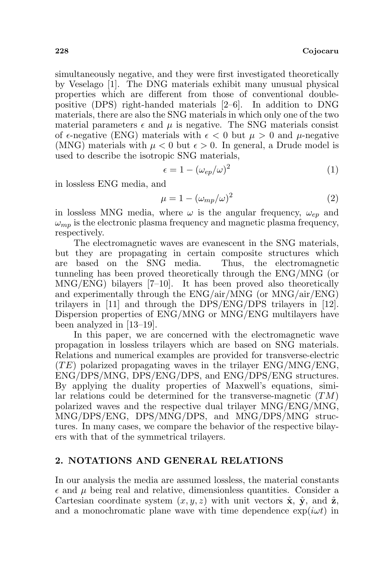simultaneously negative, and they were first investigated theoretically by Veselago [1]. The DNG materials exhibit many unusual physical properties which are different from those of conventional doublepositive (DPS) right-handed materials [2–6]. In addition to DNG materials, there are also the SNG materials in which only one of the two material parameters  $\epsilon$  and  $\mu$  is negative. The SNG materials consist of  $\epsilon$ -negative (ENG) materials with  $\epsilon < 0$  but  $\mu > 0$  and  $\mu$ -negative (MNG) materials with  $\mu < 0$  but  $\epsilon > 0$ . In general, a Drude model is used to describe the isotropic SNG materials,

$$
\epsilon = 1 - (\omega_{ep}/\omega)^2 \tag{1}
$$

in lossless ENG media, and

$$
\mu = 1 - (\omega_{mp}/\omega)^2 \tag{2}
$$

in lossless MNG media, where  $\omega$  is the angular frequency,  $\omega_{ep}$  and  $\omega_{mn}$  is the electronic plasma frequency and magnetic plasma frequency, respectively.

The electromagnetic waves are evanescent in the SNG materials, but they are propagating in certain composite structures which are based on the SNG media. Thus, the electromagnetic tunneling has been proved theoretically through the ENG/MNG (or MNG/ENG) bilayers [7–10]. It has been proved also theoretically and experimentally through the ENG/air/MNG (or MNG/air/ENG) trilayers in [11] and through the DPS/ENG/DPS trilayers in [12]. Dispersion properties of ENG/MNG or MNG/ENG multilayers have been analyzed in [13–19].

In this paper, we are concerned with the electromagnetic wave propagation in lossless trilayers which are based on SNG materials. Relations and numerical examples are provided for transverse-electric  $(TE)$  polarized propagating waves in the trilayer ENG/MNG/ENG, ENG/DPS/MNG, DPS/ENG/DPS, and ENG/DPS/ENG structures. By applying the duality properties of Maxwell's equations, similar relations could be determined for the transverse-magnetic  $(TM)$ polarized waves and the respective dual trilayer MNG/ENG/MNG, MNG/DPS/ENG, DPS/MNG/DPS, and MNG/DPS/MNG structures. In many cases, we compare the behavior of the respective bilayers with that of the symmetrical trilayers.

#### 2. NOTATIONS AND GENERAL RELATIONS

In our analysis the media are assumed lossless, the material constants  $\epsilon$  and  $\mu$  being real and relative, dimensionless quantities. Consider a Cartesian coordinate system  $(x, y, z)$  with unit vectors  $\hat{\mathbf{x}}$ ,  $\hat{\mathbf{y}}$ , and  $\hat{\mathbf{z}}$ , and a monochromatic plane wave with time dependence  $\exp(i\omega t)$  in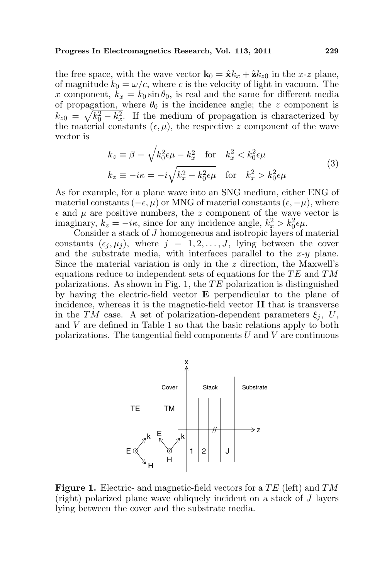the free space, with the wave vector  $\mathbf{k}_0 = \hat{\mathbf{x}}k_x + \hat{\mathbf{z}}k_{z0}$  in the x-z plane, of magnitude  $k_0 = \omega/c$ , where c is the velocity of light in vacuum. The x component,  $k_x = k_0 \sin \theta_0$ , is real and the same for different media of propagation, where  $\theta_0$  is the incidence angle; the z component is  $k_{z0} = \sqrt{k_0^2 - k_x^2}$ . If the medium of propagation is characterized by the material constants  $(\epsilon, \mu)$ , the respective z component of the wave vector is  $\sim$ 

$$
k_z \equiv \beta = \sqrt{k_0^2 \epsilon \mu - k_x^2} \quad \text{for} \quad k_x^2 < k_0^2 \epsilon \mu
$$
\n
$$
k_z \equiv -i\kappa = -i\sqrt{k_x^2 - k_0^2 \epsilon \mu} \quad \text{for} \quad k_x^2 > k_0^2 \epsilon \mu
$$
\n
$$
(3)
$$

As for example, for a plane wave into an SNG medium, either ENG of material constants ( $-\epsilon, \mu$ ) or MNG of material constants ( $\epsilon, -\mu$ ), where  $\epsilon$  and  $\mu$  are positive numbers, the z component of the wave vector is imaginary,  $k_z = -i\kappa$ , since for any incidence angle,  $k_x^2 > k_0^2 \epsilon \mu$ .

Consider a stack of J homogeneous and isotropic layers of material constants  $(\epsilon_j, \mu_j)$ , where  $j = 1, 2, ..., J$ , lying between the cover and the substrate media, with interfaces parallel to the  $x-y$  plane. Since the material variation is only in the z direction, the Maxwell's equations reduce to independent sets of equations for the  $TE$  and  $TM$ polarizations. As shown in Fig. 1, the  $TE$  polarization is distinguished by having the electric-field vector E perpendicular to the plane of incidence, whereas it is the magnetic-field vector  $H$  that is transverse in the TM case. A set of polarization-dependent parameters  $\xi_i$ , U, and V are defined in Table 1 so that the basic relations apply to both polarizations. The tangential field components  $U$  and  $V$  are continuous



**Figure 1.** Electric- and magnetic-field vectors for a  $TE$  (left) and  $TM$ (right) polarized plane wave obliquely incident on a stack of J layers lying between the cover and the substrate media.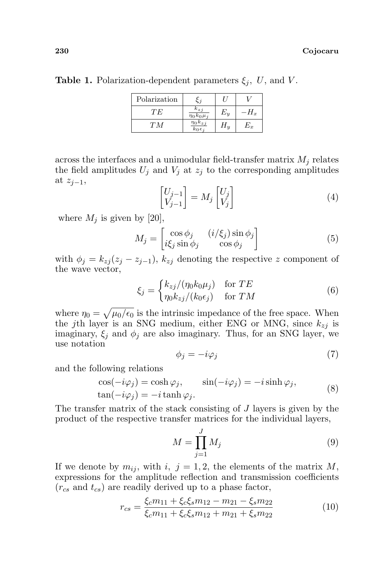| Polarization | - 4                                            |       |                       |
|--------------|------------------------------------------------|-------|-----------------------|
| ŦЕ           | $k_{zi}$<br>$\eta_0 k_0 \mu_j$                 | $E_u$ | $\bm{\mathsf{\Pi}}_x$ |
| TМ           | $\overline{\eta_0 k_{zj}}$<br>$k_0 \epsilon_i$ | $H_u$ | $E_x\,$               |

across the interfaces and a unimodular field-transfer matrix  $M_i$  relates the field amplitudes  $U_j$  and  $V_j$  at  $z_j$  to the corresponding amplitudes at  $z_{j-1}$ , ·  $\overline{a}$ ·  $\overline{a}$ 

$$
\begin{bmatrix} U_{j-1} \\ V_{j-1} \end{bmatrix} = M_j \begin{bmatrix} U_j \\ V_j \end{bmatrix}
$$
 (4)

where  $M_j$  is given by [20],

$$
M_j = \begin{bmatrix} \cos \phi_j & (i/\xi_j) \sin \phi_j \\ i\xi_j \sin \phi_j & \cos \phi_j \end{bmatrix}
$$
 (5)

with  $\phi_j = k_{zj}(z_j - z_{j-1}), k_{zj}$  denoting the respective z component of the wave vector, ½

$$
\xi_j = \begin{cases} k_{zj}/(\eta_0 k_0 \mu_j) & \text{for } TE\\ \eta_0 k_{zj}/(k_0 \epsilon_j) & \text{for } TM \end{cases}
$$
 (6)

where  $\eta_0 =$ p  $\mu_0/\epsilon_0$  is the intrinsic impedance of the free space. When the jth layer is an SNG medium, either ENG or MNG, since  $k_{zj}$  is imaginary,  $\xi_j$  and  $\phi_j$  are also imaginary. Thus, for an SNG layer, we use notation

$$
\phi_j = -i\varphi_j \tag{7}
$$

and the following relations

$$
\cos(-i\varphi_j) = \cosh \varphi_j, \qquad \sin(-i\varphi_j) = -i\sinh \varphi_j, \n\tan(-i\varphi_j) = -i\tanh \varphi_j.
$$
\n(8)

The transfer matrix of the stack consisting of J layers is given by the product of the respective transfer matrices for the individual layers,

$$
M = \prod_{j=1}^{J} M_j \tag{9}
$$

If we denote by  $m_{ij}$ , with i,  $j = 1, 2$ , the elements of the matrix M, expressions for the amplitude reflection and transmission coefficients  $(r_{cs}$  and  $t_{cs})$  are readily derived up to a phase factor,

$$
r_{cs} = \frac{\xi_c m_{11} + \xi_c \xi_s m_{12} - m_{21} - \xi_s m_{22}}{\xi_c m_{11} + \xi_c \xi_s m_{12} + m_{21} + \xi_s m_{22}}\tag{10}
$$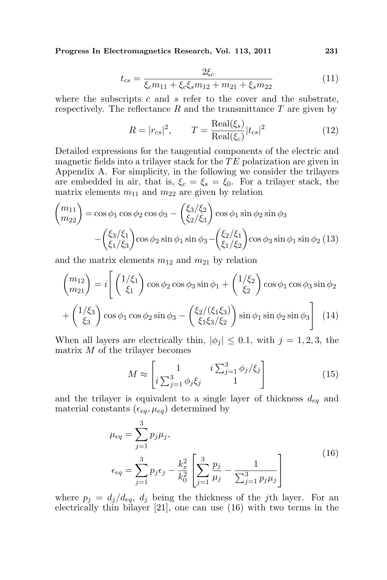$$
t_{cs} = \frac{2\xi_c}{\xi_c m_{11} + \xi_c \xi_s m_{12} + m_{21} + \xi_s m_{22}}\tag{11}
$$

where the subscripts  $c$  and  $s$  refer to the cover and the substrate, respectively. The reflectance  $R$  and the transmittance  $T$  are given by

$$
R = |r_{cs}|^2, \qquad T = \frac{\text{Real}(\xi_s)}{\text{Real}(\xi_c)} |t_{cs}|^2 \tag{12}
$$

Detailed expressions for the tangential components of the electric and magnetic fields into a trilayer stack for the  $TE$  polarization are given in Appendix A. For simplicity, in the following we consider the trilayers are embedded in air, that is,  $\xi_c = \xi_s = \xi_0$ . For a trilayer stack, the matrix elements  $m_{11}$  and  $m_{22}$  are given by relation

$$
{m_{11} \choose m_{22}} = \cos \phi_1 \cos \phi_2 \cos \phi_3 - \left(\frac{\xi_3/\xi_2}{\xi_2/\xi_3}\right) \cos \phi_1 \sin \phi_2 \sin \phi_3 - \left(\frac{\xi_3/\xi_1}{\xi_1/\xi_3}\right) \cos \phi_2 \sin \phi_1 \sin \phi_3 - \left(\frac{\xi_2/\xi_1}{\xi_1/\xi_2}\right) \cos \phi_3 \sin \phi_1 \sin \phi_2 (13)
$$

and the matrix elements  $m_{12}$  and  $m_{21}$  by relation

$$
\begin{pmatrix} m_{12} \\ m_{21} \end{pmatrix} = i \left[ \begin{pmatrix} 1/\xi_1 \\ \xi_1 \end{pmatrix} \cos \phi_2 \cos \phi_3 \sin \phi_1 + \begin{pmatrix} 1/\xi_2 \\ \xi_2 \end{pmatrix} \cos \phi_1 \cos \phi_3 \sin \phi_2 \right. + \begin{pmatrix} 1/\xi_3 \\ \xi_3 \end{pmatrix} \cos \phi_1 \cos \phi_2 \sin \phi_3 - \begin{pmatrix} \xi_2/(\xi_1 \xi_3) \\ \xi_1 \xi_3/\xi_2 \end{pmatrix} \sin \phi_1 \sin \phi_2 \sin \phi_3 \right] (14)
$$

When all layers are electrically thin,  $|\phi_j| \leq 0.1$ , with  $j = 1, 2, 3$ , the matrix  $M$  of the trilayer becomes .<br> $\overline{r}$ #

$$
M \approx \begin{bmatrix} 1 & i \sum_{j=1}^{3} \phi_j / \xi_j \\ i \sum_{j=1}^{3} \phi_j \xi_j & 1 \end{bmatrix}
$$
 (15)

and the trilayer is equivalent to a single layer of thickness  $d_{eq}$  and material constants  $(\epsilon_{eq}, \mu_{eq})$  determined by

$$
\mu_{eq} = \sum_{j=1}^{3} p_j \mu_j,
$$
\n
$$
\epsilon_{eq} = \sum_{j=1}^{3} p_j \epsilon_j - \frac{k_x^2}{k_0^2} \left[ \sum_{j=1}^{3} \frac{p_j}{\mu_j} - \frac{1}{\sum_{j=1}^{3} p_j \mu_j} \right]
$$
\n(16)

where  $p_j = d_j/d_{eq}$ ,  $d_j$  being the thickness of the jth layer. For an electrically thin bilayer [21], one can use (16) with two terms in the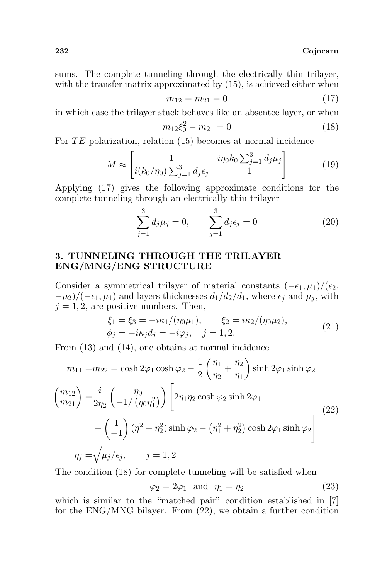sums. The complete tunneling through the electrically thin trilayer, with the transfer matrix approximated by  $(15)$ , is achieved either when

$$
m_{12} = m_{21} = 0 \tag{17}
$$

in which case the trilayer stack behaves like an absentee layer, or when

$$
m_{12}\xi_0^2 - m_{21} = 0\tag{18}
$$

For  $TE$  polarization, relation  $(15)$  becomes at normal incidence

$$
M \approx \begin{bmatrix} 1 & i\eta_0 k_0 \sum_{j=1}^3 d_j \mu_j \\ i(k_0/\eta_0) \sum_{j=1}^3 d_j \epsilon_j & 1 \end{bmatrix}
$$
 (19)

Applying (17) gives the following approximate conditions for the complete tunneling through an electrically thin trilayer

$$
\sum_{j=1}^{3} d_j \mu_j = 0, \qquad \sum_{j=1}^{3} d_j \epsilon_j = 0
$$
 (20)

## 3. TUNNELING THROUGH THE TRILAYER ENG/MNG/ENG STRUCTURE

Consider a symmetrical trilayer of material constants  $(-\epsilon_1, \mu_1)/(\epsilon_2,$  $-\mu_2/(-\epsilon_1,\mu_1)$  and layers thicknesses  $d_1/d_2/d_1$ , where  $\epsilon_i$  and  $\mu_i$ , with  $j = 1, 2$ , are positive numbers. Then,

$$
\xi_1 = \xi_3 = -i\kappa_1/(\eta_0\mu_1), \qquad \xi_2 = i\kappa_2/(\eta_0\mu_2), \n\phi_j = -i\kappa_j d_j = -i\varphi_j, \quad j = 1, 2.
$$
\n(21)

From (13) and (14), one obtains at normal incidence

$$
m_{11} = m_{22} = \cosh 2\varphi_1 \cosh \varphi_2 - \frac{1}{2} \left( \frac{\eta_1}{\eta_2} + \frac{\eta_2}{\eta_1} \right) \sinh 2\varphi_1 \sinh \varphi_2
$$
  

$$
\begin{pmatrix} m_{12} \\ m_{21} \end{pmatrix} = \frac{i}{2\eta_2} \begin{pmatrix} \eta_0 \\ -1/\left(\eta_0 \eta_1^2\right) \end{pmatrix} \left[ 2\eta_1 \eta_2 \cosh \varphi_2 \sinh 2\varphi_1 \right]
$$
  

$$
+ \begin{pmatrix} 1 \\ -1 \end{pmatrix} \left( \eta_1^2 - \eta_2^2 \right) \sinh \varphi_2 - \left( \eta_1^2 + \eta_2^2 \right) \cosh 2\varphi_1 \sinh \varphi_2
$$
  

$$
\eta_j = \sqrt{\mu_j / \epsilon_j}, \qquad j = 1, 2
$$
 (22)

The condition (18) for complete tunneling will be satisfied when

$$
\varphi_2 = 2\varphi_1 \quad \text{and} \quad \eta_1 = \eta_2 \tag{23}
$$

which is similar to the "matched pair" condition established in [7] for the ENG/MNG bilayer. From (22), we obtain a further condition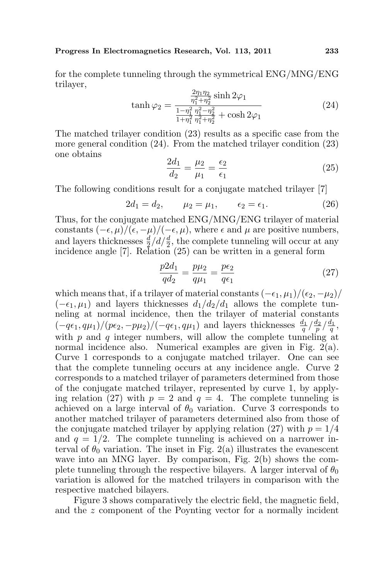for the complete tunneling through the symmetrical ENG/MNG/ENG trilayer,

$$
\tanh \varphi_2 = \frac{\frac{2\eta_1 \eta_2}{\eta_1^2 + \eta_2^2} \sinh 2\varphi_1}{\frac{1 - \eta_1^2}{1 + \eta_1^2} \frac{\eta_1^2 - \eta_2^2}{\eta_1^2 + \eta_2^2} + \cosh 2\varphi_1}
$$
(24)

The matched trilayer condition (23) results as a specific case from the more general condition (24). From the matched trilayer condition (23) one obtains

$$
\frac{2d_1}{d_2} = \frac{\mu_2}{\mu_1} = \frac{\epsilon_2}{\epsilon_1}
$$
 (25)

The following conditions result for a conjugate matched trilayer [7]

$$
2d_1 = d_2,
$$
  $\mu_2 = \mu_1,$   $\epsilon_2 = \epsilon_1.$  (26)

Thus, for the conjugate matched ENG/MNG/ENG trilayer of material constants  $(-\epsilon, \mu)/(\epsilon, -\mu)/(-\epsilon, \mu)$ , where  $\epsilon$  and  $\mu$  are positive numbers, and layers thicknesses  $\frac{d}{2}/d/\frac{d}{2}$ , the complete tunneling will occur at any incidence angle [7]. Relation (25) can be written in a general form

$$
\frac{p2d_1}{qd_2} = \frac{p\mu_2}{q\mu_1} = \frac{p\epsilon_2}{q\epsilon_1}
$$
\n(27)

which means that, if a trilayer of material constants  $(-\epsilon_1, \mu_1)/(\epsilon_2, -\mu_2)/$  $(-\epsilon_1, \mu_1)$  and layers thicknesses  $d_1/d_2/d_1$  allows the complete tunneling at normal incidence, then the trilayer of material constants  $(-q\epsilon_1, q\mu_1)/(p\epsilon_2, -p\mu_2)/(-q\epsilon_1, q\mu_1)$  and layers thicknesses  $\frac{d_1}{q} / \frac{d_2}{p} / \frac{d_1}{q}$ , with  $p$  and  $q$  integer numbers, will allow the complete tunneling at normal incidence also. Numerical examples are given in Fig. 2(a). Curve 1 corresponds to a conjugate matched trilayer. One can see that the complete tunneling occurs at any incidence angle. Curve 2 corresponds to a matched trilayer of parameters determined from those of the conjugate matched trilayer, represented by curve 1, by applying relation (27) with  $p = 2$  and  $q = 4$ . The complete tunneling is achieved on a large interval of  $\theta_0$  variation. Curve 3 corresponds to another matched trilayer of parameters determined also from those of the conjugate matched trilayer by applying relation (27) with  $p = 1/4$ and  $q = 1/2$ . The complete tunneling is achieved on a narrower interval of  $\theta_0$  variation. The inset in Fig. 2(a) illustrates the evanescent wave into an MNG layer. By comparison, Fig. 2(b) shows the complete tunneling through the respective bilayers. A larger interval of  $\theta_0$ variation is allowed for the matched trilayers in comparison with the respective matched bilayers.

Figure 3 shows comparatively the electric field, the magnetic field, and the z component of the Poynting vector for a normally incident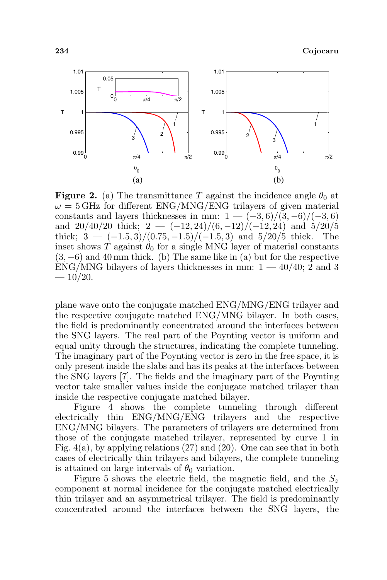

**Figure 2.** (a) The transmittance T against the incidence angle  $\theta_0$  at  $\omega = 5$  GHz for different ENG/MNG/ENG trilayers of given material constants and layers thicknesses in mm:  $1 - (-3, 6)/(3, -6)/(-3, 6)$ and  $20/40/20$  thick;  $2 - (-12, 24)/(6, -12)/(-12, 24)$  and  $5/20/5$ thick;  $3 - (-1.5, 3)/(0.75, -1.5)/(-1.5, 3)$  and  $5/20/5$  thick. The inset shows T against  $\theta_0$  for a single MNG layer of material constants  $(3, -6)$  and 40 mm thick. (b) The same like in (a) but for the respective ENG/MNG bilayers of layers thicknesses in mm:  $1 - 40/40$ ; 2 and 3  $-10/20.$ 

plane wave onto the conjugate matched ENG/MNG/ENG trilayer and the respective conjugate matched ENG/MNG bilayer. In both cases, the field is predominantly concentrated around the interfaces between the SNG layers. The real part of the Poynting vector is uniform and equal unity through the structures, indicating the complete tunneling. The imaginary part of the Poynting vector is zero in the free space, it is only present inside the slabs and has its peaks at the interfaces between the SNG layers [7]. The fields and the imaginary part of the Poynting vector take smaller values inside the conjugate matched trilayer than inside the respective conjugate matched bilayer.

Figure 4 shows the complete tunneling through different electrically thin ENG/MNG/ENG trilayers and the respective ENG/MNG bilayers. The parameters of trilayers are determined from those of the conjugate matched trilayer, represented by curve 1 in Fig. 4(a), by applying relations (27) and (20). One can see that in both cases of electrically thin trilayers and bilayers, the complete tunneling is attained on large intervals of  $\theta_0$  variation.

Figure 5 shows the electric field, the magnetic field, and the  $S_z$ component at normal incidence for the conjugate matched electrically thin trilayer and an asymmetrical trilayer. The field is predominantly concentrated around the interfaces between the SNG layers, the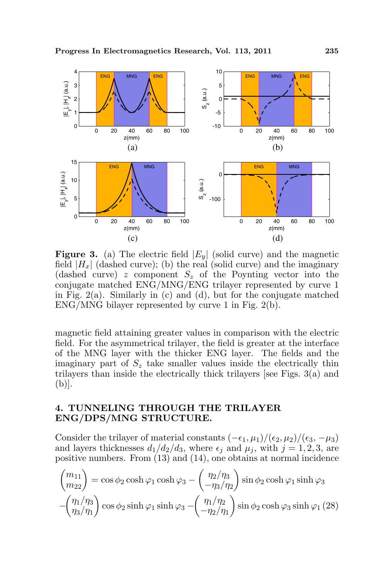

**Figure 3.** (a) The electric field  $|E_y|$  (solid curve) and the magnetic field  $|H_x|$  (dashed curve); (b) the real (solid curve) and the imaginary (dashed curve) z component  $S_z$  of the Poynting vector into the conjugate matched ENG/MNG/ENG trilayer represented by curve 1 in Fig.  $2(a)$ . Similarly in (c) and (d), but for the conjugate matched ENG/MNG bilayer represented by curve 1 in Fig. 2(b).

magnetic field attaining greater values in comparison with the electric field. For the asymmetrical trilayer, the field is greater at the interface of the MNG layer with the thicker ENG layer. The fields and the imaginary part of  $S<sub>z</sub>$  take smaller values inside the electrically thin trilayers than inside the electrically thick trilayers [see Figs. 3(a) and (b)].

### 4. TUNNELING THROUGH THE TRILAYER ENG/DPS/MNG STRUCTURE.

Consider the trilayer of material constants  $(-\epsilon_1, \mu_1)/(\epsilon_2, \mu_2)/(\epsilon_3, -\mu_3)$ and layers thicknesses  $d_1/d_2/d_3$ , where  $\epsilon_j$  and  $\mu_j$ , with  $j = 1, 2, 3$ , are positive numbers. From (13) and (14), one obtains at normal incidence  $\overline{a}$  $\frac{1}{2}$  $\mathbf{r}$ 

$$
\begin{pmatrix} m_{11} \\ m_{22} \end{pmatrix} = \cos \phi_2 \cosh \varphi_1 \cosh \varphi_3 - \begin{pmatrix} \eta_2/\eta_3 \\ -\eta_3/\eta_2 \end{pmatrix} \sin \phi_2 \cosh \varphi_1 \sinh \varphi_3
$$

$$
-\begin{pmatrix} \eta_1/\eta_3 \\ \eta_3/\eta_1 \end{pmatrix} \cos \phi_2 \sinh \varphi_1 \sinh \varphi_3 - \begin{pmatrix} \eta_1/\eta_2 \\ -\eta_2/\eta_1 \end{pmatrix} \sin \phi_2 \cosh \varphi_3 \sinh \varphi_1 (28)
$$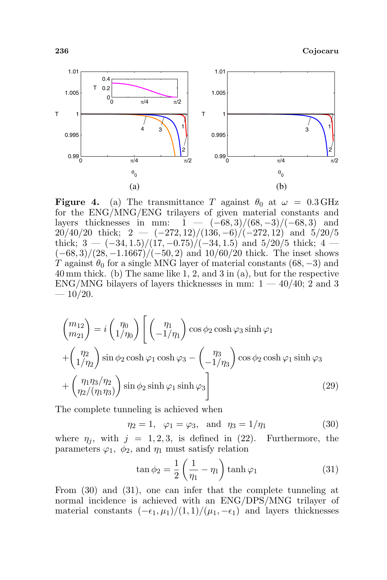

**Figure 4.** (a) The transmittance T against  $\theta_0$  at  $\omega = 0.3 \text{ GHz}$ for the ENG/MNG/ENG trilayers of given material constants and layers thicknesses in mm:  $1 - (-68, 3)/(68, -3)/(-68, 3)$  and  $20/40/20$  thick;  $2 - (-272, 12)/(136, -6)/(-272, 12)$  and  $5/20/5$ thick;  $3 - (-34, 1.5)/(17, -0.75)/(-34, 1.5)$  and  $5/20/5$  thick;  $4 (-68, 3)/(28, -1.1667)/(-50, 2)$  and  $10/60/20$  thick. The inset shows T against  $\theta_0$  for a single MNG layer of material constants (68, -3) and 40 mm thick. (b) The same like 1, 2, and 3 in (a), but for the respective  $ENG/MNG$  bilayers of layers thicknesses in mm:  $1 - 40/40$ ; 2 and 3  $-10/20.$ 

$$
\begin{aligned}\n\binom{m_{12}}{m_{21}} &= i \binom{\eta_0}{1/\eta_0} \left[ \binom{\eta_1}{-1/\eta_1} \cos \phi_2 \cosh \varphi_3 \sinh \varphi_1 \right. \\
&\quad + \binom{\eta_2}{1/\eta_2} \sin \phi_2 \cosh \varphi_1 \cosh \varphi_3 - \binom{\eta_3}{-1/\eta_3} \cos \phi_2 \cosh \varphi_1 \sinh \varphi_3 \right. \\
&\quad + \left( \frac{\eta_1 \eta_3}{\eta_2} \right) \sin \phi_2 \sinh \varphi_1 \sinh \varphi_3 \right]\n\end{aligned} \tag{29}
$$

The complete tunneling is achieved when

$$
\eta_2 = 1, \varphi_1 = \varphi_3, \text{ and } \eta_3 = 1/\eta_1
$$
\n(30)

where  $\eta_i$ , with  $j = 1, 2, 3$ , is defined in (22). Furthermore, the parameters  $\varphi_1$ ,  $\phi_2$ , and  $\eta_1$  must satisfy relation

$$
\tan \phi_2 = \frac{1}{2} \left( \frac{1}{\eta_1} - \eta_1 \right) \tanh \varphi_1 \tag{31}
$$

From (30) and (31), one can infer that the complete tunneling at normal incidence is achieved with an ENG/DPS/MNG trilayer of material constants  $(-\epsilon_1, \mu_1)/(1, 1)/(\mu_1, -\epsilon_1)$  and layers thicknesses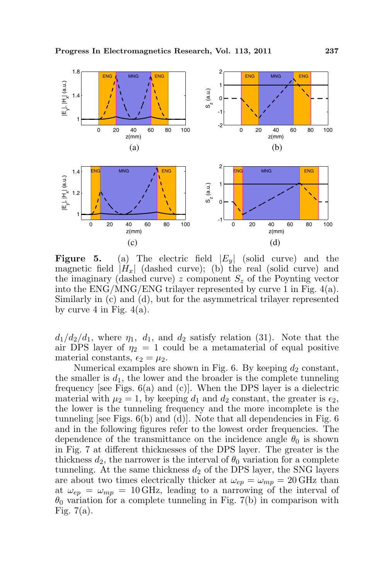

**Figure 5.** (a) The electric field  $|E_y|$  (solid curve) and the magnetic field  $|H_x|$  (dashed curve); (b) the real (solid curve) and the imaginary (dashed curve) z component  $S<sub>z</sub>$  of the Poynting vector into the ENG/MNG/ENG trilayer represented by curve 1 in Fig. 4(a). Similarly in (c) and (d), but for the asymmetrical trilayer represented by curve 4 in Fig.  $4(a)$ .

 $d_1/d_2/d_1$ , where  $\eta_1$ ,  $d_1$ , and  $d_2$  satisfy relation (31). Note that the air DPS layer of  $\eta_2 = 1$  could be a metamaterial of equal positive material constants,  $\epsilon_2 = \mu_2$ .

Numerical examples are shown in Fig. 6. By keeping  $d_2$  constant, the smaller is  $d_1$ , the lower and the broader is the complete tunneling frequency [see Figs.  $6(a)$  and  $(c)$ ]. When the DPS layer is a dielectric material with  $\mu_2 = 1$ , by keeping  $d_1$  and  $d_2$  constant, the greater is  $\epsilon_2$ , the lower is the tunneling frequency and the more incomplete is the tunneling [see Figs.  $6(b)$  and  $(d)$ ]. Note that all dependencies in Fig. 6 and in the following figures refer to the lowest order frequencies. The dependence of the transmittance on the incidence angle  $\theta_0$  is shown in Fig. 7 at different thicknesses of the DPS layer. The greater is the thickness  $d_2$ , the narrower is the interval of  $\theta_0$  variation for a complete tunneling. At the same thickness  $d_2$  of the DPS layer, the SNG layers are about two times electrically thicker at  $\omega_{ep} = \omega_{mp} = 20$  GHz than at  $\omega_{ep} = \omega_{mp} = 10 \text{ GHz}$ , leading to a narrowing of the interval of  $\theta_0$  variation for a complete tunneling in Fig. 7(b) in comparison with Fig.  $7(a)$ .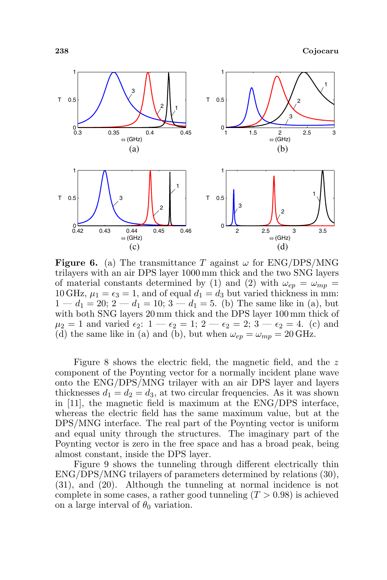

**Figure 6.** (a) The transmittance T against  $\omega$  for ENG/DPS/MNG trilayers with an air DPS layer 1000 mm thick and the two SNG layers of material constants determined by (1) and (2) with  $\omega_{ep} = \omega_{mp}$ 10 GHz,  $\mu_1 = \epsilon_3 = 1$ , and of equal  $d_1 = d_3$  but varied thickness in mm:  $1 - d_1 = 20$ ;  $2 - d_1 = 10$ ;  $3 - d_1 = 5$ . (b) The same like in (a), but with both SNG layers 20 mm thick and the DPS layer 100 mm thick of  $\mu_2 = 1$  and varied  $\epsilon_2$ :  $1 - \epsilon_2 = 1$ ;  $2 - \epsilon_2 = 2$ ;  $3 - \epsilon_2 = 4$ . (c) and (d) the same like in (a) and (b), but when  $\omega_{ep} = \omega_{mp} = 20 \text{ GHz}.$ 

Figure 8 shows the electric field, the magnetic field, and the z component of the Poynting vector for a normally incident plane wave onto the ENG/DPS/MNG trilayer with an air DPS layer and layers thicknesses  $d_1 = d_2 = d_3$ , at two circular frequencies. As it was shown in [11], the magnetic field is maximum at the ENG/DPS interface, whereas the electric field has the same maximum value, but at the DPS/MNG interface. The real part of the Poynting vector is uniform and equal unity through the structures. The imaginary part of the Poynting vector is zero in the free space and has a broad peak, being almost constant, inside the DPS layer.

Figure 9 shows the tunneling through different electrically thin ENG/DPS/MNG trilayers of parameters determined by relations (30), (31), and (20). Although the tunneling at normal incidence is not complete in some cases, a rather good tunneling  $(T > 0.98)$  is achieved on a large interval of  $\theta_0$  variation.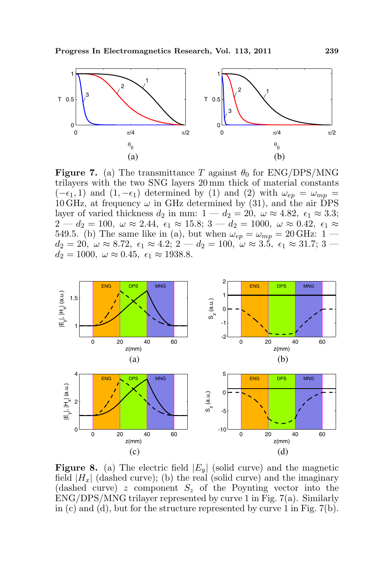

**Figure 7.** (a) The transmittance T against  $\theta_0$  for ENG/DPS/MNG trilayers with the two SNG layers 20 mm thick of material constants  $(-\epsilon_1, 1)$  and  $(1, -\epsilon_1)$  determined by (1) and (2) with  $\omega_{ep} = \omega_{mp}$ 10 GHz, at frequency  $\omega$  in GHz determined by (31), and the air DPS layer of varied thickness  $d_2$  in mm:  $1 - d_2 = 20$ ,  $\omega \approx 4.82$ ,  $\epsilon_1 \approx 3.3$ ;  $2 - d_2 = 100, \ \omega \approx 2.44, \ \epsilon_1 \approx 15.8; \ 3 - d_2 = 1000, \ \omega \approx 0.42, \ \epsilon_1 \approx$ 549.5. (b) The same like in (a), but when  $\omega_{ep} = \omega_{mp} = 20 \text{ GHz: } 1$   $d_2 = 20, \ \omega \approx 8.72, \ \epsilon_1 \approx 4.2; \ 2 \ -d_2 = 100, \ \omega \approx 3.5, \ \epsilon_1 \approx 31.7; \ 3 \$  $d_2 = 1000, \ \omega \approx 0.45, \ \epsilon_1 \approx 1938.8.$ 



**Figure 8.** (a) The electric field  $|E_y|$  (solid curve) and the magnetic field  $|H_x|$  (dashed curve); (b) the real (solid curve) and the imaginary (dashed curve) z component  $S_z$  of the Poynting vector into the ENG/DPS/MNG trilayer represented by curve 1 in Fig. 7(a). Similarly in (c) and (d), but for the structure represented by curve 1 in Fig. 7(b).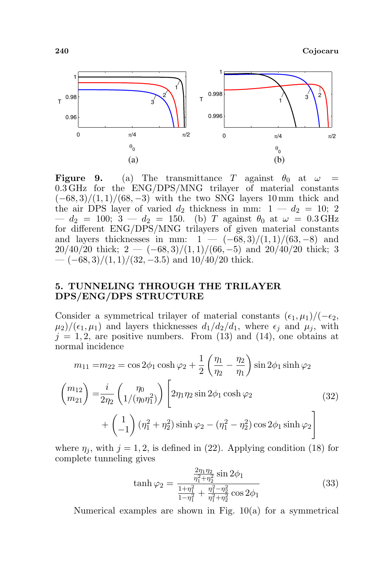

**Figure 9.** (a) The transmittance T against  $\theta_0$  at  $\omega$  = 0.3 GHz for the ENG/DPS/MNG trilayer of material constants  $(-68, 3)/(1, 1)/(68, -3)$  with the two SNG layers 10 mm thick and the air DPS layer of varied  $d_2$  thickness in mm:  $1 - d_2 = 10; 2$  $- d_2 = 100; 3 - d_2 = 150.$  (b) T against  $\theta_0$  at  $\omega = 0.3 \text{ GHz}$ for different ENG/DPS/MNG trilayers of given material constants and layers thicknesses in mm:  $1 - (-68, 3)/(1, 1)/(63, -8)$  and  $20/40/20$  thick;  $2 - (-68, 3)/(1, 1)/(66, -5)$  and  $20/40/20$  thick; 3  $-(-68,3)/(1,1)/(32,-3.5)$  and  $10/40/20$  thick.

## 5. TUNNELING THROUGH THE TRILAYER DPS/ENG/DPS STRUCTURE

Consider a symmetrical trilayer of material constants  $(\epsilon_1, \mu_1)/(-\epsilon_2,$  $\mu_2$ /( $\epsilon_1$ ,  $\mu_1$ ) and layers thicknesses  $d_1/d_2/d_1$ , where  $\epsilon_j$  and  $\mu_j$ , with  $j = 1, 2$ , are positive numbers. From (13) and (14), one obtains at normal incidence  $\overline{a}$  $\mathbf{r}$ 

$$
m_{11} = m_{22} = \cos 2\phi_1 \cosh \varphi_2 + \frac{1}{2} \left( \frac{\eta_1}{\eta_2} - \frac{\eta_2}{\eta_1} \right) \sin 2\phi_1 \sinh \varphi_2
$$
  

$$
\begin{pmatrix} m_{12} \\ m_{21} \end{pmatrix} = \frac{i}{2\eta_2} \left( \frac{\eta_0}{1/(\eta_0 \eta_1^2)} \right) \left[ 2\eta_1 \eta_2 \sin 2\phi_1 \cosh \varphi_2 \right.
$$
  

$$
+ \left( \frac{1}{-1} \right) (\eta_1^2 + \eta_2^2) \sinh \varphi_2 - (\eta_1^2 - \eta_2^2) \cos 2\phi_1 \sinh \varphi_2 \right]
$$
(32)

where  $\eta_i$ , with  $j = 1, 2$ , is defined in (22). Applying condition (18) for complete tunneling gives

$$
\tanh \varphi_2 = \frac{\frac{2\eta_1 \eta_2}{\eta_1^2 + \eta_2^2} \sin 2\phi_1}{\frac{1 + \eta_1^2}{1 - \eta_1^2} + \frac{\eta_1^2 - \eta_2^2}{\eta_1^2 + \eta_2^2} \cos 2\phi_1}
$$
(33)

Numerical examples are shown in Fig. 10(a) for a symmetrical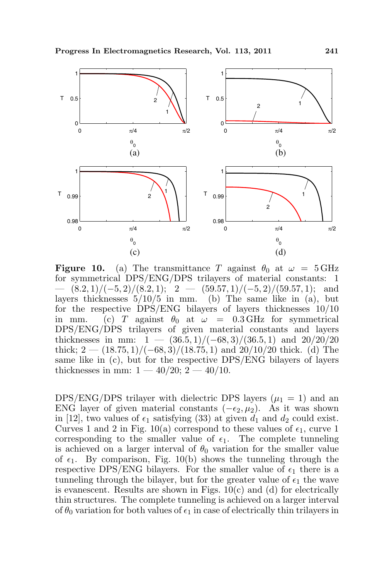

**Figure 10.** (a) The transmittance T against  $\theta_0$  at  $\omega = 5 \text{ GHz}$ for symmetrical DPS/ENG/DPS trilayers of material constants: 1  $-$  (8.2, 1)/(-5, 2)/(8.2, 1); 2 − (59.57, 1)/(-5, 2)/(59.57, 1); and layers thicknesses  $5/10/5$  in mm. (b) The same like in (a), but for the respective DPS/ENG bilayers of layers thicknesses 10/10 in mm. (c) T against  $\theta_0$  at  $\omega = 0.3 \text{ GHz}$  for symmetrical DPS/ENG/DPS trilayers of given material constants and layers thicknesses in mm:  $1 - (36.5, 1)/(-68, 3)/(36.5, 1)$  and  $20/20/20$ thick;  $2 - (18.75, 1)/(-68, 3)/(18.75, 1)$  and  $20/10/20$  thick. (d) The same like in (c), but for the respective DPS/ENG bilayers of layers thicknesses in mm:  $1 - 40/20$ ;  $2 - 40/10$ .

DPS/ENG/DPS trilayer with dielectric DPS layers  $(\mu_1 = 1)$  and an ENG layer of given material constants  $(-\epsilon_2, \mu_2)$ . As it was shown in [12], two values of  $\epsilon_1$  satisfying (33) at given  $d_1$  and  $d_2$  could exist. Curves 1 and 2 in Fig. 10(a) correspond to these values of  $\epsilon_1$ , curve 1 corresponding to the smaller value of  $\epsilon_1$ . The complete tunneling is achieved on a larger interval of  $\theta_0$  variation for the smaller value of  $\epsilon_1$ . By comparison, Fig. 10(b) shows the tunneling through the respective DPS/ENG bilayers. For the smaller value of  $\epsilon_1$  there is a tunneling through the bilayer, but for the greater value of  $\epsilon_1$  the wave is evanescent. Results are shown in Figs.  $10(c)$  and (d) for electrically thin structures. The complete tunneling is achieved on a larger interval of  $\theta_0$  variation for both values of  $\epsilon_1$  in case of electrically thin trilayers in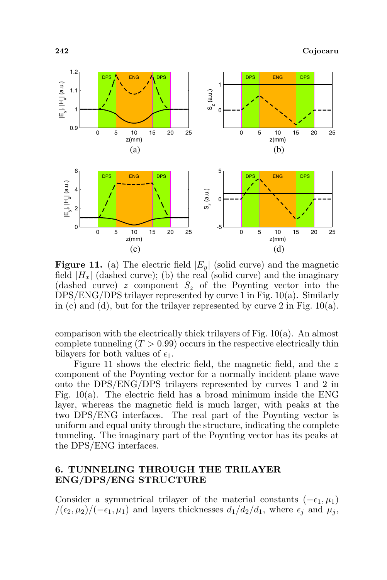

**Figure 11.** (a) The electric field  $|E_y|$  (solid curve) and the magnetic field  $|H_x|$  (dashed curve); (b) the real (solid curve) and the imaginary (dashed curve) z component  $S_z$  of the Poynting vector into the DPS/ENG/DPS trilayer represented by curve 1 in Fig. 10(a). Similarly in (c) and (d), but for the trilayer represented by curve 2 in Fig.  $10(a)$ .

comparison with the electrically thick trilayers of Fig. 10(a). An almost complete tunneling  $(T > 0.99)$  occurs in the respective electrically thin bilayers for both values of  $\epsilon_1$ .

Figure 11 shows the electric field, the magnetic field, and the z component of the Poynting vector for a normally incident plane wave onto the DPS/ENG/DPS trilayers represented by curves 1 and 2 in Fig.  $10(a)$ . The electric field has a broad minimum inside the ENG layer, whereas the magnetic field is much larger, with peaks at the two DPS/ENG interfaces. The real part of the Poynting vector is uniform and equal unity through the structure, indicating the complete tunneling. The imaginary part of the Poynting vector has its peaks at the DPS/ENG interfaces.

## 6. TUNNELING THROUGH THE TRILAYER ENG/DPS/ENG STRUCTURE

Consider a symmetrical trilayer of the material constants  $(-\epsilon_1, \mu_1)$  $/(\epsilon_2, \mu_2)/(-\epsilon_1, \mu_1)$  and layers thicknesses  $d_1/d_2/d_1$ , where  $\epsilon_j$  and  $\mu_j$ ,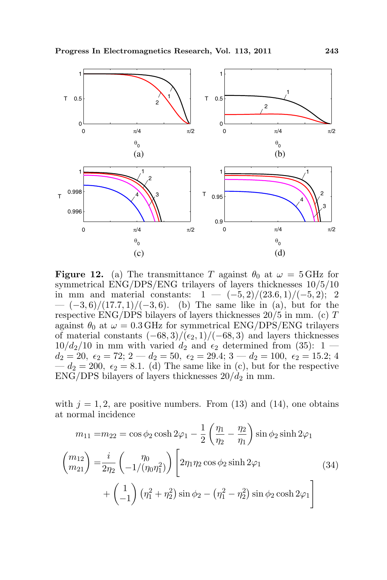

**Figure 12.** (a) The transmittance T against  $\theta_0$  at  $\omega = 5 \text{ GHz}$  for symmetrical ENG/DPS/ENG trilayers of layers thicknesses 10/5/10 in mm and material constants:  $1 - (-5, 2)/(23.6, 1)/(-5, 2);$  2  $-(-3,6)/(17.7,1)/(-3,6)$ . (b) The same like in (a), but for the respective ENG/DPS bilayers of layers thicknesses 20/5 in mm. (c) T against  $\theta_0$  at  $\omega = 0.3$  GHz for symmetrical ENG/DPS/ENG trilayers of material constants  $(-68, 3)/(\epsilon_2, 1)/(-68, 3)$  and layers thicknesses  $10/d_2/10$  in mm with varied  $d_2$  and  $\epsilon_2$  determined from (35): 1  $d_2 = 20, \epsilon_2 = 72; 2 - d_2 = 50, \epsilon_2 = 29.4; 3 - d_2 = 100, \epsilon_2 = 15.2; 4$  $-d_2 = 200, \epsilon_2 = 8.1.$  (d) The same like in (c), but for the respective  $ENG/DPS$  bilayers of layers thicknesses  $20/d_2$  in mm.

with  $j = 1, 2$ , are positive numbers. From (13) and (14), one obtains at normal incidence  $\overline{a}$  $\mathbf{r}$ 

$$
m_{11} = m_{22} = \cos \phi_2 \cosh 2\varphi_1 - \frac{1}{2} \left( \frac{\eta_1}{\eta_2} - \frac{\eta_2}{\eta_1} \right) \sin \phi_2 \sinh 2\varphi_1
$$
  

$$
\begin{pmatrix} m_{12} \\ m_{21} \end{pmatrix} = \frac{i}{2\eta_2} \begin{pmatrix} \eta_0 \\ -1/(\eta_0 \eta_1^2) \end{pmatrix} \begin{bmatrix} 2\eta_1 \eta_2 \cos \phi_2 \sinh 2\varphi_1 \\ 2\eta_1 \eta_2 \cos \phi_2 \sinh 2\varphi_1 \end{bmatrix}
$$
  

$$
+ \begin{pmatrix} 1 \\ -1 \end{pmatrix} (\eta_1^2 + \eta_2^2) \sin \phi_2 - (\eta_1^2 - \eta_2^2) \sin \phi_2 \cosh 2\varphi_1 \end{pmatrix}
$$
(34)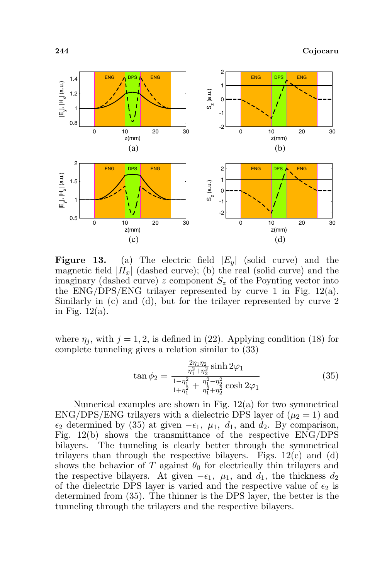

**Figure 13.** (a) The electric field  $|E_y|$  (solid curve) and the magnetic field  $|H_x|$  (dashed curve); (b) the real (solid curve) and the imaginary (dashed curve) z component  $S_z$  of the Poynting vector into the ENG/DPS/ENG trilayer represented by curve 1 in Fig. 12(a). Similarly in (c) and (d), but for the trilayer represented by curve 2 in Fig. 12(a).

where  $\eta_i$ , with  $j = 1, 2$ , is defined in (22). Applying condition (18) for complete tunneling gives a relation similar to (33)

$$
\tan \phi_2 = \frac{\frac{2\eta_1 \eta_2}{\eta_1^2 + \eta_2^2} \sinh 2\varphi_1}{\frac{1 - \eta_1^2}{1 + \eta_1^2} + \frac{\eta_1^2 - \eta_2^2}{\eta_1^2 + \eta_2^2} \cosh 2\varphi_1}
$$
(35)

Numerical examples are shown in Fig. 12(a) for two symmetrical ENG/DPS/ENG trilayers with a dielectric DPS layer of  $(\mu_2 = 1)$  and  $\epsilon_2$  determined by (35) at given  $-\epsilon_1$ ,  $\mu_1$ ,  $d_1$ , and  $d_2$ . By comparison, Fig. 12(b) shows the transmittance of the respective ENG/DPS bilayers. The tunneling is clearly better through the symmetrical trilayers than through the respective bilayers. Figs.  $12(c)$  and (d) shows the behavior of T against  $\theta_0$  for electrically thin trilayers and the respective bilayers. At given  $-\epsilon_1$ ,  $\mu_1$ , and  $d_1$ , the thickness  $d_2$ of the dielectric DPS layer is varied and the respective value of  $\epsilon_2$  is determined from (35). The thinner is the DPS layer, the better is the tunneling through the trilayers and the respective bilayers.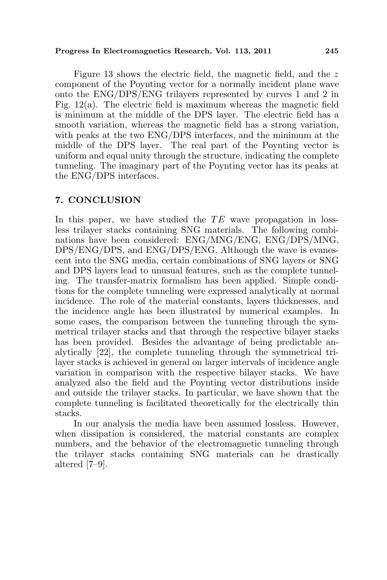Figure 13 shows the electric field, the magnetic field, and the z component of the Poynting vector for a normally incident plane wave onto the ENG/DPS/ENG trilayers represented by curves 1 and 2 in Fig.  $12(a)$ . The electric field is maximum whereas the magnetic field is minimum at the middle of the DPS layer. The electric field has a smooth variation, whereas the magnetic field has a strong variation, with peaks at the two ENG/DPS interfaces, and the minimum at the middle of the DPS layer. The real part of the Poynting vector is uniform and equal unity through the structure, indicating the complete tunneling. The imaginary part of the Poynting vector has its peaks at the ENG/DPS interfaces.

#### 7. CONCLUSION

In this paper, we have studied the  $TE$  wave propagation in lossless trilayer stacks containing SNG materials. The following combinations have been considered: ENG/MNG/ENG, ENG/DPS/MNG, DPS/ENG/DPS, and ENG/DPS/ENG. Although the wave is evanescent into the SNG media, certain combinations of SNG layers or SNG and DPS layers lead to unusual features, such as the complete tunneling. The transfer-matrix formalism has been applied. Simple conditions for the complete tunneling were expressed analytically at normal incidence. The role of the material constants, layers thicknesses, and the incidence angle has been illustrated by numerical examples. In some cases, the comparison between the tunneling through the symmetrical trilayer stacks and that through the respective bilayer stacks has been provided. Besides the advantage of being predictable analytically [22], the complete tunneling through the symmetrical trilayer stacks is achieved in general on larger intervals of incidence angle variation in comparison with the respective bilayer stacks. We have analyzed also the field and the Poynting vector distributions inside and outside the trilayer stacks. In particular, we have shown that the complete tunneling is facilitated theoretically for the electrically thin stacks.

In our analysis the media have been assumed lossless. However, when dissipation is considered, the material constants are complex numbers, and the behavior of the electromagnetic tunneling through the trilayer stacks containing SNG materials can be drastically altered [7–9].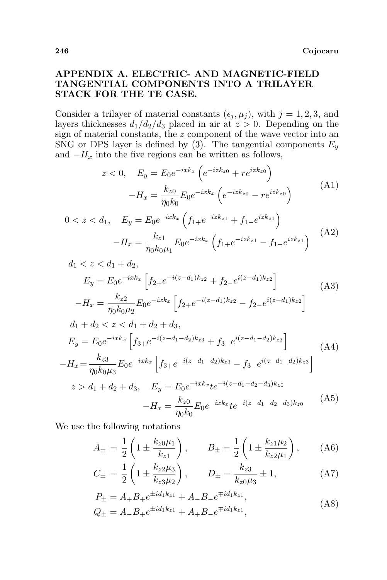# APPENDIX A. ELECTRIC- AND MAGNETIC-FIELD TANGENTIAL COMPONENTS INTO A TRILAYER STACK FOR THE TE CASE.

Consider a trilayer of material constants  $(\epsilon_j, \mu_j)$ , with  $j = 1, 2, 3$ , and layers thicknesses  $d_1/d_2/d_3$  placed in air at  $z > 0$ . Depending on the sign of material constants, the  $z$  component of the wave vector into an SNG or DPS layer is defined by (3). The tangential components  $E_y$ and  $-H_x$  into the five regions can be written as follows,

$$
z < 0, \quad E_y = E_0 e^{-ixk_x} \left( e^{-izk_{z0}} + r e^{izk_{z0}} \right) -H_x = \frac{k_{z0}}{\eta_0 k_0} E_0 e^{-ixk_x} \left( e^{-izk_{z0}} - r e^{izk_{z0}} \right) \tag{A1}
$$

$$
0 < z < d_1, \quad E_y = E_0 e^{-ixk_x} \left( f_{1+} e^{-izk_{z1}} + f_{1-} e^{izk_{z1}} \right) \\
 \quad - H_x = \frac{k_{z1}}{\eta_0 k_0 \mu_1} E_0 e^{-ixk_x} \left( f_{1+} e^{-izk_{z1}} - f_{1-} e^{izk_{z1}} \right) \tag{A2}
$$

$$
d_1 < z < d_1 + d_2,
$$
  
\n
$$
E_y = E_0 e^{-ixk_x} \left[ f_{2+} e^{-i(z-d_1)k_{z2}} + f_{2-} e^{i(z-d_1)k_{z2}} \right]
$$
\n
$$
-H_x = \frac{k_{z2}}{\eta_0 k_0 \mu_2} E_0 e^{-ixk_x} \left[ f_{2+} e^{-i(z-d_1)k_{z2}} - f_{2-} e^{i(z-d_1)k_{z2}} \right]
$$
\n(A3)

$$
d_1 + d_2 < z < d_1 + d_2 + d_3,
$$
\n
$$
E_y = E_0 e^{-ixk_x} \left[ f_{3+} e^{-i(z - d_1 - d_2)k_{z3}} + f_{3-} e^{i(z - d_1 - d_2)k_{z3}} \right] \tag{A4}
$$
\n
$$
-H_x = \frac{k_{z3}}{\eta_0 k_0 \mu_3} E_0 e^{-ixk_x} \left[ f_{3+} e^{-i(z - d_1 - d_2)k_{z3}} - f_{3-} e^{i(z - d_1 - d_2)k_{z3}} \right]
$$
\n
$$
z > d_1 + d_2 + d_3, \quad E_y = E_0 e^{-ixk_x} t e^{-i(z - d_1 - d_2 - d_3)k_{z0}} - H_x = \frac{k_{z0}}{\eta_0 k_0} E_0 e^{-ixk_x} t e^{-i(z - d_1 - d_2 - d_3)k_{z0}} \tag{A5}
$$

We use the following notations

$$
A_{\pm} = \frac{1}{2} \left( 1 \pm \frac{k_{z0} \mu_1}{k_{z1}} \right), \qquad B_{\pm} = \frac{1}{2} \left( 1 \pm \frac{k_{z1} \mu_2}{k_{z2} \mu_1} \right), \qquad (A6)
$$

$$
C_{\pm} = \frac{1}{2} \left( 1 \pm \frac{k_{z2}\mu_3}{k_{z3}\mu_2} \right), \qquad D_{\pm} = \frac{k_{z3}}{k_{z0}\mu_3} \pm 1, \tag{A7}
$$

$$
P_{\pm} = A_{+}B_{+}e^{\pm id_{1}k_{z1}} + A_{-}B_{-}e^{\mp id_{1}k_{z1}},
$$
  
\n
$$
Q_{\pm} = A_{-}B_{+}e^{\pm id_{1}k_{z1}} + A_{+}B_{-}e^{\mp id_{1}k_{z1}},
$$
\n(A8)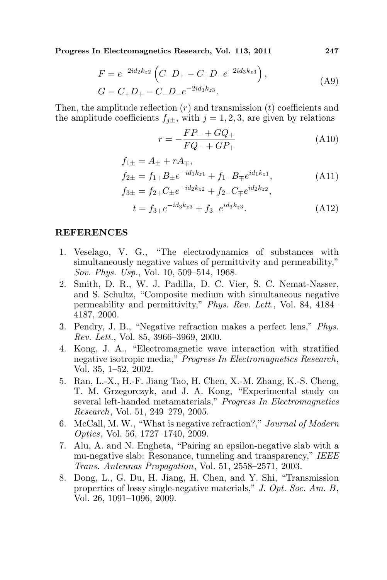$$
F = e^{-2id_2k_{z2}} \left( C_-D_+ - C_+D_-e^{-2id_3k_{z3}} \right),
$$
  
\n
$$
G = C_+D_+ - C_-D_-e^{-2id_3k_{z3}}.
$$
\n(A9)

Then, the amplitude reflection  $(r)$  and transmission  $(t)$  coefficients and the amplitude coefficients  $f_{i\pm}$ , with  $j = 1, 2, 3$ , are given by relations

$$
r = -\frac{FP_{-} + GQ_{+}}{FQ_{-} + GP_{+}}
$$
\n(A10)

$$
f_{1\pm} = A_{\pm} + rA_{\mp},
$$
  
\n
$$
f_{2\pm} = f_{1+}B_{\pm}e^{-id_1k_{z1}} + f_{1-}B_{\mp}e^{id_1k_{z1}},
$$
  
\n
$$
f_{3\pm} = f_{2+}C_{\pm}e^{-id_2k_{z2}} + f_{2-}C_{\mp}e^{id_2k_{z2}},
$$
  
\n
$$
t = f_{3+}e^{-id_3k_{z3}} + f_{3-}e^{id_3k_{z3}}.
$$
\n(A12)

#### REFERENCES

- 1. Veselago, V. G., "The electrodynamics of substances with simultaneously negative values of permittivity and permeability," Sov. Phys. Usp., Vol. 10, 509–514, 1968.
- 2. Smith, D. R., W. J. Padilla, D. C. Vier, S. C. Nemat-Nasser, and S. Schultz, "Composite medium with simultaneous negative permeability and permittivity," Phys. Rev. Lett., Vol. 84, 4184– 4187, 2000.
- 3. Pendry, J. B., "Negative refraction makes a perfect lens," Phys. Rev. Lett., Vol. 85, 3966–3969, 2000.
- 4. Kong, J. A., "Electromagnetic wave interaction with stratified negative isotropic media," Progress In Electromagnetics Research, Vol. 35, 1–52, 2002.
- 5. Ran, L.-X., H.-F. Jiang Tao, H. Chen, X.-M. Zhang, K.-S. Cheng, T. M. Grzegorczyk, and J. A. Kong, "Experimental study on several left-handed metamaterials," Progress In Electromagnetics Research, Vol. 51, 249–279, 2005.
- 6. McCall, M. W., "What is negative refraction?," Journal of Modern Optics, Vol. 56, 1727–1740, 2009.
- 7. Alu, A. and N. Engheta, "Pairing an epsilon-negative slab with a mu-negative slab: Resonance, tunneling and transparency," IEEE Trans. Antennas Propagation, Vol. 51, 2558–2571, 2003.
- 8. Dong, L., G. Du, H. Jiang, H. Chen, and Y. Shi, "Transmission properties of lossy single-negative materials," J. Opt. Soc. Am. B, Vol. 26, 1091–1096, 2009.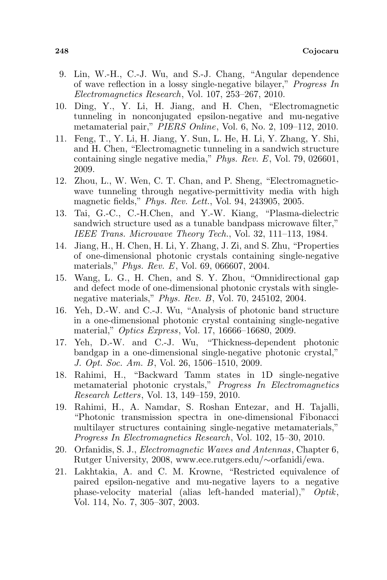- 9. Lin, W.-H., C.-J. Wu, and S.-J. Chang, "Angular dependence of wave reflection in a lossy single-negative bilayer," Progress In Electromagnetics Research, Vol. 107, 253–267, 2010.
- 10. Ding, Y., Y. Li, H. Jiang, and H. Chen, "Electromagnetic tunneling in nonconjugated epsilon-negative and mu-negative metamaterial pair," PIERS Online, Vol. 6, No. 2, 109–112, 2010.
- 11. Feng, T., Y. Li, H. Jiang, Y. Sun, L. He, H. Li, Y. Zhang, Y. Shi, and H. Chen, "Electromagnetic tunneling in a sandwich structure containing single negative media," Phys. Rev. E, Vol. 79, 026601, 2009.
- 12. Zhou, L., W. Wen, C. T. Chan, and P. Sheng, "Electromagneticwave tunneling through negative-permittivity media with high magnetic fields," Phys. Rev. Lett., Vol. 94, 243905, 2005.
- 13. Tai, G.-C., C.-H.Chen, and Y.-W. Kiang, "Plasma-dielectric sandwich structure used as a tunable bandpass microwave filter," IEEE Trans. Microwave Theory Tech., Vol. 32, 111–113, 1984.
- 14. Jiang, H., H. Chen, H. Li, Y. Zhang, J. Zi, and S. Zhu, "Properties of one-dimensional photonic crystals containing single-negative materials," Phys. Rev. E, Vol. 69, 066607, 2004.
- 15. Wang, L. G., H. Chen, and S. Y. Zhou, "Omnidirectional gap and defect mode of one-dimensional photonic crystals with singlenegative materials," Phys. Rev. B, Vol. 70, 245102, 2004.
- 16. Yeh, D.-W. and C.-J. Wu, "Analysis of photonic band structure in a one-dimensional photonic crystal containing single-negative material," Optics Express, Vol. 17, 16666–16680, 2009.
- 17. Yeh, D.-W. and C.-J. Wu, "Thickness-dependent photonic bandgap in a one-dimensional single-negative photonic crystal," J. Opt. Soc. Am. B, Vol. 26, 1506–1510, 2009.
- 18. Rahimi, H., "Backward Tamm states in 1D single-negative metamaterial photonic crystals," Progress In Electromagnetics Research Letters, Vol. 13, 149–159, 2010.
- 19. Rahimi, H., A. Namdar, S. Roshan Entezar, and H. Tajalli, "Photonic transmission spectra in one-dimensional Fibonacci multilayer structures containing single-negative metamaterials," Progress In Electromagnetics Research, Vol. 102, 15–30, 2010.
- 20. Orfanidis, S. J., Electromagnetic Waves and Antennas, Chapter 6, Rutger University, 2008, www.ece.rutgers.edu/∼orfanidi/ewa.
- 21. Lakhtakia, A. and C. M. Krowne, "Restricted equivalence of paired epsilon-negative and mu-negative layers to a negative phase-velocity material (alias left-handed material)," Optik, Vol. 114, No. 7, 305–307, 2003.